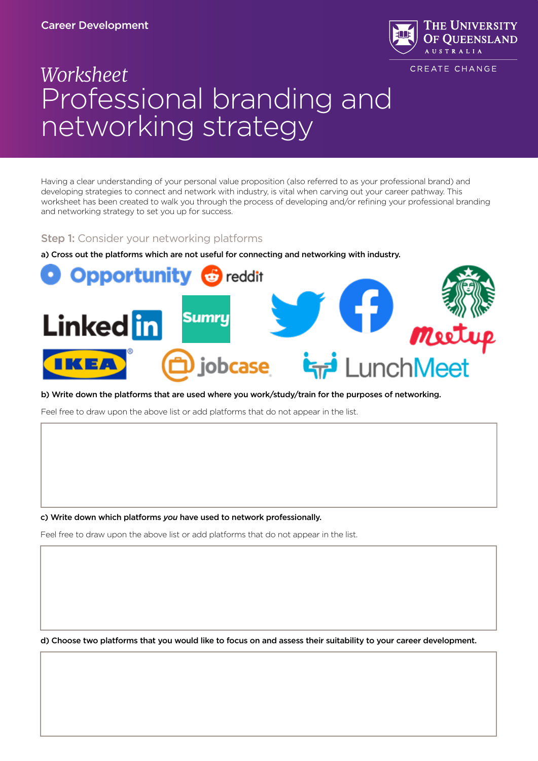# Career Development



CREATE CHANGE

# *Worksheet* Professional branding and networking strategy

Having a clear understanding of your personal value proposition (also referred to as your professional brand) and developing strategies to connect and network with industry, is vital when carving out your career pathway. This worksheet has been created to walk you through the process of developing and/or refining your professional branding and networking strategy to set you up for success.

# **Step 1:** Consider your networking platforms

a) Cross out the platforms which are not useful for connecting and networking with industry.



#### b) Write down the platforms that are used where you work/study/train for the purposes of networking.

Feel free to draw upon the above list or add platforms that do not appear in the list.

c) Write down which platforms *you* have used to network professionally.

Feel free to draw upon the above list or add platforms that do not appear in the list.

d) Choose two platforms that you would like to focus on and assess their suitability to your career development.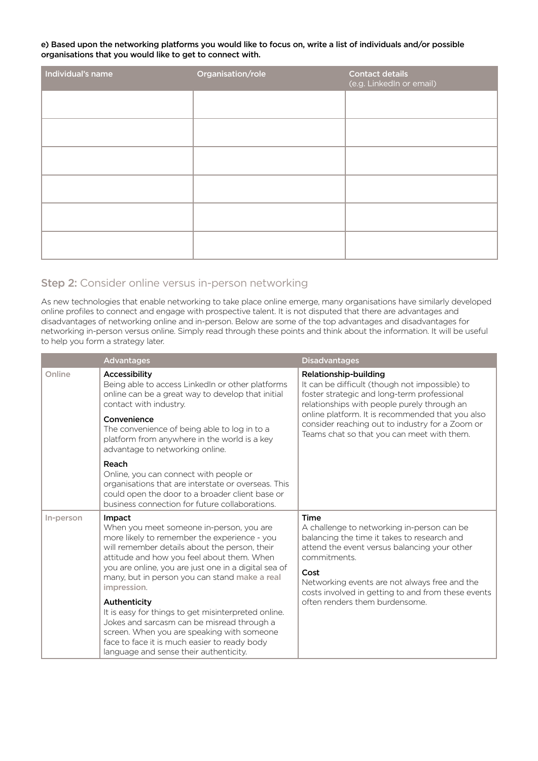#### e) Based upon the networking platforms you would like to focus on, write a list of individuals and/or possible organisations that you would like to get to connect with.

| Individual's name | Organisation/role | <b>Contact details</b><br>(e.g. LinkedIn or email) |
|-------------------|-------------------|----------------------------------------------------|
|                   |                   |                                                    |
|                   |                   |                                                    |
|                   |                   |                                                    |
|                   |                   |                                                    |
|                   |                   |                                                    |
|                   |                   |                                                    |

## Step 2: Consider online versus in-person networking

As new technologies that enable networking to take place online emerge, many organisations have similarly developed online profiles to connect and engage with prospective talent. It is not disputed that there are advantages and disadvantages of networking online and in-person. Below are some of the top advantages and disadvantages for networking in-person versus online. Simply read through these points and think about the information. It will be useful to help you form a strategy later.

|           | <b>Advantages</b>                                                                                                                                                                                                                                                                                                                                                                                                                                                                                                                                                                      | <b>Disadvantages</b>                                                                                                                                                                                                                                                                                                       |
|-----------|----------------------------------------------------------------------------------------------------------------------------------------------------------------------------------------------------------------------------------------------------------------------------------------------------------------------------------------------------------------------------------------------------------------------------------------------------------------------------------------------------------------------------------------------------------------------------------------|----------------------------------------------------------------------------------------------------------------------------------------------------------------------------------------------------------------------------------------------------------------------------------------------------------------------------|
| Online    | Accessibility<br>Being able to access LinkedIn or other platforms<br>online can be a great way to develop that initial<br>contact with industry.<br>Convenience<br>The convenience of being able to log in to a<br>platform from anywhere in the world is a key<br>advantage to networking online.<br>Reach<br>Online, you can connect with people or                                                                                                                                                                                                                                  | Relationship-building<br>It can be difficult (though not impossible) to<br>foster strategic and long-term professional<br>relationships with people purely through an<br>online platform. It is recommended that you also<br>consider reaching out to industry for a Zoom or<br>Teams chat so that you can meet with them. |
|           | organisations that are interstate or overseas. This<br>could open the door to a broader client base or<br>business connection for future collaborations.                                                                                                                                                                                                                                                                                                                                                                                                                               |                                                                                                                                                                                                                                                                                                                            |
| In-person | Impact<br>When you meet someone in-person, you are<br>more likely to remember the experience - you<br>will remember details about the person, their<br>attitude and how you feel about them. When<br>you are online, you are just one in a digital sea of<br>many, but in person you can stand make a real<br>impression.<br>Authenticity<br>It is easy for things to get misinterpreted online.<br>Jokes and sarcasm can be misread through a<br>screen. When you are speaking with someone<br>face to face it is much easier to ready body<br>language and sense their authenticity. | <b>Time</b><br>A challenge to networking in-person can be<br>balancing the time it takes to research and<br>attend the event versus balancing your other<br>commitments.<br>Cost<br>Networking events are not always free and the<br>costs involved in getting to and from these events<br>often renders them burdensome.  |